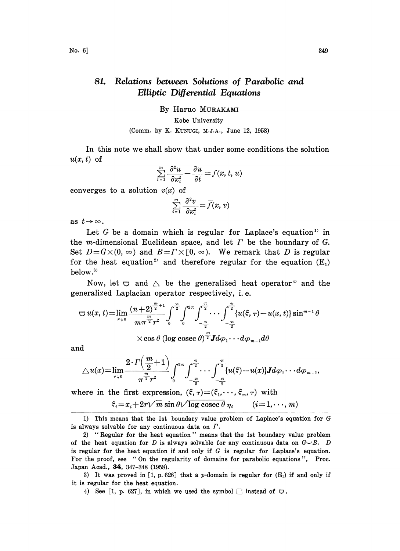## Relations between Solutions of Parabolic and 81. Elliptic Differential Equations

By Haruo MURAKAMI

## Kobe University

## (Comm. by K. KUNUGI, M.J.A., June 12, 1958)

In this note we shall show that under some conditions the solution  $u(x, t)$  of

$$
\sum_{i=1}^{m} \frac{\partial^2 u}{\partial x_i^2} - \frac{\partial u}{\partial t} = f(x, t, u)
$$

converges to a solution  $v(x)$  of

$$
\sum_{i=1}^{m} \frac{\partial^2 v}{\partial x_i^2} = \overline{f}(x, v)
$$

as  $t\rightarrow\infty$ .

Let  $G$  be a domain which is regular for Laplace's equation<sup>11</sup> in the m-dimensional Euclidean space, and let  $\Gamma$  be the boundary of  $G$ . Set  $D=G\times(0, \infty)$  and  $B=r\times[0, \infty)$ . We remark that D is regular for the heat equation<sup>2</sup> and therefore regular for the equation  $(E_1)$ below.<sup>3</sup>

Now, let  $\Box$  and  $\triangle$  be the generalized heat operator<sup>4</sup> and the generalized Laplacian operator respectively, i.e.

$$
\bigcirc u(x,t)=\lim_{r\downarrow 0}\frac{(n+2)^{\frac{m}{2}+1}}{m\pi^{\frac{m}{2}}r^2}\int_0^{\frac{\pi}{2}}\int_0^{2\pi}\int_{-\frac{\pi}{2}}^{\frac{\pi}{2}}\cdots\int_{-\frac{\pi}{2}}^{\frac{\pi}{2}}\{u(\xi,\tau)-u(x,t)\}\sin^{m-1}\theta
$$
  

$$
\times \cos\theta \left(\log\csc\theta\right)^{\frac{m}{2}}\mathbf{J}d\varphi_1\cdots d\varphi_{m-1}d\theta
$$

and

$$
\triangle u(x)\!=\!\lim_{r\downarrow 0}\frac{2\cdot\varGamma\!\left(\frac{m}{2}\!+\!1\right)}{\pi^{\frac{m}{2}}r^2}\int_{0}^{2\pi}\!\int_{-\frac{\pi}{2}}^{\frac{\pi}{2}}\!\!\cdots\!\int_{-\frac{\pi}{2}}^{\frac{\pi}{2}}\!\!\!\!\!\{u(\xi)\!-\!u(x)\}\mathbf{J}d\varphi_1\!\cdots d\varphi_{m-1},
$$

where in the first expression,  $(\xi, \tau) = (\xi_1, \dots, \xi_m, \tau)$  with  $\xi_i = x_i + 2r\sqrt{m} \sin \theta \sqrt{\log \csc \theta} \eta_i$   $(i=1,\dots, m)$ 

1) This means that the 1st boundary value problem of Laplace's equation for G is always solvable for any continuous data on  $\Gamma$ .

2) "Regular for the heat equation" means that the 1st boundary value problem of the heat equation for D is always solvable for any continuous data on  $G\smile B$ . D is regular for the heat equation if and only if  $G$  is regular for Laplace's equation. For the proof, see "On the regularity of domains for parabolic equations ", Proc. Japan Acad., 34, 347-348 (1958).

3) It was proved in [1, p. 626] that a p-domain is regular for  $(E_1)$  if and only if it is regular for the heat equation.

4) See [1, p. 627], in which we used the symbol  $\Box$  instead of  $\Box$ .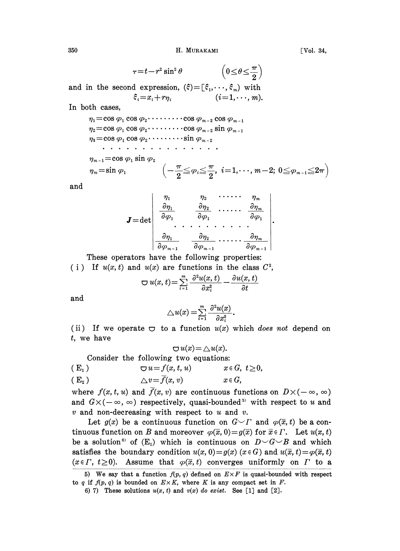350 B. H. MURAKAMI N. (Vol. 34,

$$
\tau = t - r^2 \sin^2 \theta \qquad \left(0 \le \theta \le \frac{\pi}{2}\right)
$$
  
and in the second expression,  $(\hat{\xi}) = [\xi_1, \dots, \xi_m)$  with  

$$
\xi_i = x_i + r\eta_i \qquad (i = 1, \dots, m).
$$

In both cases,

 $\begin{aligned} \xi_i \!=\! x_i \!+\! r_{\eta_i} \qquad \qquad (i\!=\! 1,\cdots,m). \ \text{th cases,} \ \eta_1 \!=\!\cos\varphi_1\cos\varphi_2\!\cdot\!\cdot\!\cdot\!\cdot\!\cdot\!\cdot\!\cdot\!\cos\varphi_{m-2}\cos\varphi_{m-1} \ \eta_2 \!=\!\cos\varphi_1\cos\varphi_2\!\cdot\!\cdot\!\cdot\!\cdot\!\cdot\!\cdot\!\cdot\!\cos\varphi_{m-2}\sin\varphi_{m-1} \end{aligned}$  $\eta_1 = \cos \varphi_1 \cos \varphi_2 \cdots \cdots \cos \varphi_{m-2} \cos \varphi_{m-1}$  $\eta_3 = \cos \varphi_1 \cos \varphi_2 \cdots \cdots \cdots \sin \varphi_{m-2}$ <br> $\cdots \cdots \cdots \cdots \cdots$ 

$$
\begin{array}{l} \displaystyle \eta_{\scriptscriptstyle m\,-1}\!\!=\!\cos\varphi_1\sin\varphi_2 \\ \displaystyle \eta_{\scriptscriptstyle m}\!=\!\sin\varphi_1 \end{array} \quad\!\!\!\left(-\frac{\pi}{2}\!\!\leq\!\!\varphi_i\!\!\leq\!\!\frac{\pi}{2}\!,\ i\!=\!1,\!\cdots\!,\,m\!-\!2;\,0\!\leq\!\varphi_{\scriptscriptstyle m\,-1}\!\!\leq\!\!2\pi\right)
$$

and

$$
\boldsymbol{J} = \det \begin{vmatrix} \eta_1 & \eta_2 & \cdots & \eta_m \\ \frac{\partial \eta_1}{\partial \varphi_1} & \frac{\partial \eta_2}{\partial \varphi_1} & \cdots & \frac{\partial \eta_m}{\partial \varphi_1} \\ \vdots & \vdots & \ddots & \vdots \\ \frac{\partial \eta_1}{\partial \varphi_{m-1}} & \frac{\partial \eta_2}{\partial \varphi_{m-1}} & \cdots & \frac{\partial \eta_m}{\partial \varphi_{m-1}} \end{vmatrix}
$$

These operators have the following properties:

(i) If  $u(x, t)$  and  $u(x)$  are functions in the class  $C^2$ ,<br>  $\bigcirc u(x, t) = \sum_{n=1}^{\infty} \frac{\partial^2 u(x, t)}{\partial x^2} - \frac{\partial u(x, t)}{\partial t}$ 

$$
\bigcirc u(x, t) = \sum_{i=1}^{m} \frac{\partial^2 u(x, t)}{\partial x_i^2} - \frac{\partial u(x, t)}{\partial t}
$$

and

$$
\triangle u(x) = \sum_{i=1}^m \frac{\partial^2 u(x)}{\partial x_i^2}.
$$

(ii) If we operate  $\sigma$  to a function  $u(x)$  which does not depend on t, we have

$$
\bigcirc u(x) = \triangle u(x).
$$

Consider the following two equations:

$$
\begin{array}{lll}\n\text{(E_1)} & \text{or } \text{conorder} & \text{or } \text{equations.} \\
\text{(E_1)} & \text{or } \text{u} = f(x, t, u) & x \in G, \ t \geq 0,\n\end{array}
$$

$$
(E_2) \qquad \Delta v = \overline{f}(x,v) \qquad x \in G,
$$

where  $f(x, t, u)$  and  $\overline{f}(x, v)$  are continuous functions on  $D\times(-\infty, \infty)$ where  $f(x, t, u)$  and  $f(x, v)$  are continuous functions on  $D \wedge (-\infty, \infty)$ <br>and  $G \times (-\infty, \infty)$  respectively, quasi-bounded<sup>55</sup> with respect to u and  $v$  and non-decreasing with respect to  $u$  and  $v$ .

Let  $g(x)$  be a continuous function on  $G\smile\Gamma$  and  $\varphi(\overline{x}, t)$  be a continuous function on B and moreover  $\varphi(\overline{x}, 0) = g(\overline{x})$  for  $\overline{x} \in \Gamma$ . Let  $u(x, t)$ tinuous function on *B* and moreover  $\varphi(x, 0) = g(x)$  for  $x \in I'$ . Let  $u(x, t)$  be a solution<sup>6</sup> of  $(E_1)$  which is continuous on  $D \setminus G \setminus B$  and which satisfies the boundary condition  $u(x, 0) = g(x)$  ( $x \in G$ ) and  $u(\overline{x}, t) = \varphi(\overline{x}, t)$  $(x \in \Gamma, t \geq 0)$ . Assume that  $\varphi(\bar{x}, t)$  converges uniformly on  $\Gamma$  to a

<sup>5)</sup> We say that a function  $f(p, q)$  defined on  $E \times F$  is quasi-bounded with respect to q if  $f(p, q)$  is bounded on  $E \times K$ , where K is any compact set in F.

<sup>6) 7)</sup> These solutions  $u(x, t)$  and  $v(x)$  do exist. See [1] and [2].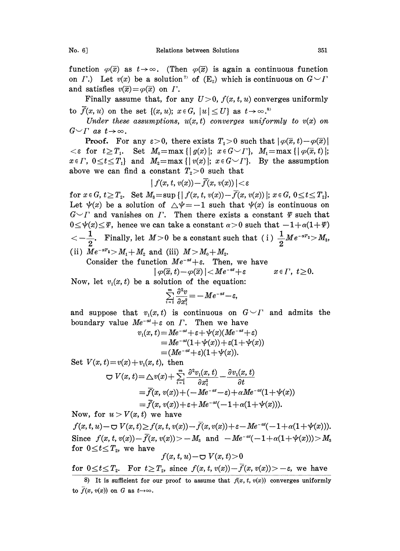function  $\varphi(\overline{x})$  as  $t \to \infty$ . (Then  $\varphi(\overline{x})$  is again a continuous function on  $\Gamma$ .) Let  $v(x)$  be a solution<sup>7</sup> of  $(E_2)$  which is continuous on  $G \setminus \Gamma$ and satisfies  $v(\overline{x}) = \varphi(\overline{x})$  on  $\Gamma$ .

Finally assume that, for any  $U>0$ ,  $f(x, t, u)$  converges uniformly to  $\overline{f}(x, u)$  on the set  $\{(x, u); x \in G, |u|$ which is contributed<br> $f(x, t, u)$  conv<br> $U$ } as  $t \rightarrow \infty$ .<sup>87</sup><br>werges uniform

Under these assumptions,  $u(x,t)$  converges uniformly to  $v(x)$  on  $G\smile\varGamma$  as  $t\rightarrow\infty$ .

**Proof.** For any  $\varepsilon > 0$ , there exists  $T_1 > 0$  such that  $|\varphi(\bar{x}, t)-\varphi(\bar{x})|$  $\lt \epsilon$  for  $t \geq T_1$ . Set  $M_0 = \max\{|g(x)|; x \in G \setminus T\}$ ,  $M_1 = \max\{|g(\overline{x},t)|;$  $x \in \Gamma$ ,  $0 \le t \le T_1$  and  $M_2 = \max\{ |v(x)|; x \in G \setminus T \}$ . By the assumption above we can find a constant  $T_2>0$  such that

$$
| f(x, t, v(x)) + \overline{f}(x, v(x)) | < \varepsilon
$$

for  $x \in G$ ,  $t \geq T_2$ . Set  $M_3 = \sup\{|f(x,t, v(x)) - \overline{f}(x, v(x))|; x \in G, 0 \leq t \leq T_2\}.$ Let  $\psi(x)$  be a solution of  $\triangle \psi = -1$  such that  $\psi(x)$  is continuous on  $G\smile\varGamma$  and vanishes on  $\varGamma$ . Then there exists a constant  $\varPsi$  such that  $0 \leq \psi(x) \leq \Psi$ , hence we can take a constant  $\alpha > 0$  such that  $-1+\alpha(1+\Psi)$  $\epsilon < -\frac{1}{2}$ . Finally, let  $M>0$  be a constant such that (i)  $\frac{1}{2}Me^{-aT_2} > M_3$ , (ii)  $Me^{-aT_1} > M_1 + M_2$  and (iii)  $M > M_0 + M_2$ .

Consider the function  $Me^{-at}+\varepsilon$ . Then, we have

$$
|\varphi(\overline{x},t)-\varphi(\overline{x})|
$$

Now, let  $v_i(x, t)$  be a solution of the equation:

$$
\textstyle \sum\limits_{i=1}^{m}\frac{\partial^2 v}{\partial x_i^2}=-Me^{-at}-\varepsilon
$$

and suppose that  $v_1(x,t)$  is continuous on  $G\setminus T$  and admits the boundary value  $Me^{-at} + \varepsilon$  on  $\Gamma$ . Then we have

$$
v_1(x,t) = Me^{-at} + \varepsilon + \psi(x)(Me^{-at} + \varepsilon)
$$
  
= Me^{-at}(1+\psi(x))+\varepsilon(1+\psi(x))  
= (Me^{-at} + \varepsilon)(1+\psi(x)).

Set  $V(x, t) = v(x) + v_1(x, t)$ , then

$$
\nabla V(x,t) = \Delta v(x) + \sum_{i=1}^{m} \frac{\partial^2 v_i(x,t)}{\partial x_i^2} - \frac{\partial v_i(x,t)}{\partial t}
$$
  
=  $\overline{f}(x, v(x)) + (-Me^{-\alpha t} - \varepsilon) + \alpha Me^{-\alpha t}(1 + \psi(x))$   
=  $\overline{f}(x, v(x)) + \varepsilon + Me^{-\alpha t}(-1 + \alpha(1 + \psi(x))).$ 

Now, for  $u > V(x, t)$  we have

 $f(x, t, u) = \bigcup V(x, t) \ge f(x, t, v(x)) - \overline{f}(x, v(x)) + \varepsilon - Me^{-at}(-1 + \alpha(1 + \psi(x))).$ Since  $f(x, t, v(x)) - \overline{f}(x, v(x)) > -M_3$  and  $-Me^{-\alpha t}(-1+\alpha(1+\psi(x))) > M_3$ for  $0 \le t \le T_2$ , we have  $f(x, t, u) - \nabla V(x, t) > 0$ 

for  $0 \le t \le T_2$ . For  $t \ge T_2$ , since  $f(x, t, v(x)) - \overline{f}(x, v(x)) > -\varepsilon$ , we have

<sup>8)</sup> It is sufficient for our proof to assume that  $f(x, t, v(x))$  converges uniformly to  $\overline{f}(x, v(x))$  on G as  $t \rightarrow \infty$ .